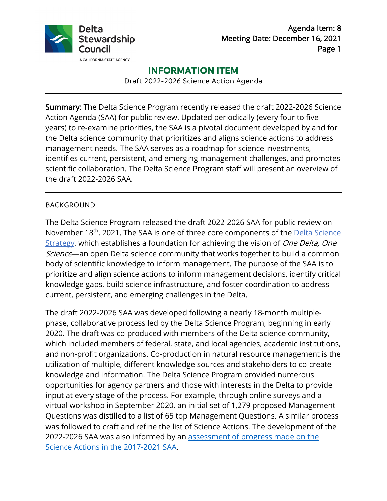

Agenda Item: 8 Meeting Date: December 16, 2021 Page 1

# **INFORMATION ITEM**

Draft 2022-2026 Science Action Agenda

Summary: The Delta Science Program recently released the draft 2022-2026 Science Action Agenda (SAA) for public review. Updated periodically (every four to five years) to re-examine priorities, the SAA is a pivotal document developed by and for the Delta science community that prioritizes and aligns science actions to address management needs. The SAA serves as a roadmap for science investments, identifies current, persistent, and emerging management challenges, and promotes scientific collaboration. The Delta Science Program staff will present an overview of the draft 2022-2026 SAA.

#### BACKGROUND

The Delta Science Program released the draft 2022-2026 SAA for public review on November 18<sup>th</sup>, 2021. The SAA is one of three core components of the **Delta Science** [Strategy,](https://deltacouncil.ca.gov/delta-science-program/delta-science-strategy) which establishes a foundation for achieving the vision of One Delta, One Science—an open Delta science community that works together to build a common body of scientific knowledge to inform management. The purpose of the SAA is to prioritize and align science actions to inform management decisions, identify critical knowledge gaps, build science infrastructure, and foster coordination to address current, persistent, and emerging challenges in the Delta.

The draft 2022-2026 SAA was developed following a nearly 18-month multiplephase, collaborative process led by the Delta Science Program, beginning in early 2020. The draft was co-produced with members of the Delta science community, which included members of federal, state, and local agencies, academic institutions, and non-profit organizations. Co-production in natural resource management is the utilization of multiple, different knowledge sources and stakeholders to co-create knowledge and information. The Delta Science Program provided numerous opportunities for agency partners and those with interests in the Delta to provide input at every stage of the process. For example, through online surveys and a virtual workshop in September 2020, an initial set of 1,279 proposed Management Questions was distilled to a list of 65 top Management Questions. A similar process was followed to craft and refine the list of Science Actions. The development of the 2022-2026 SAA was also informed by an [assessment of progress made on the](https://scienceactionagenda.deltacouncil.ca.gov/pdf/SAA-Progress-Summary.pdf)  [Science Actions in the 2017-2021 SAA.](https://scienceactionagenda.deltacouncil.ca.gov/pdf/SAA-Progress-Summary.pdf)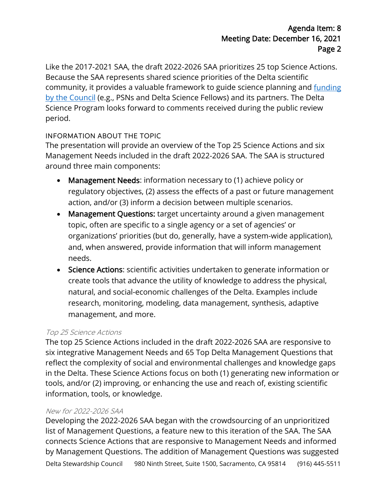Like the 2017-2021 SAA, the draft 2022-2026 SAA prioritizes 25 top Science Actions. Because the SAA represents shared science priorities of the Delta scientific community, it provides a valuable framework to guide science planning and [funding](https://deltacouncil.ca.gov/delta-science-program/research-funding-and-fellowships) [by the Council](https://deltacouncil.ca.gov/delta-science-program/research-funding-and-fellowships) (e.g., PSNs and Delta Science Fellows) and its partners. The Delta Science Program looks forward to comments received during the public review period.

# INFORMATION ABOUT THE TOPIC

The presentation will provide an overview of the Top 25 Science Actions and six Management Needs included in the draft 2022-2026 SAA. The SAA is structured around three main components:

- Management Needs: information necessary to (1) achieve policy or regulatory objectives, (2) assess the effects of a past or future management action, and/or (3) inform a decision between multiple scenarios.
- Management Questions: target uncertainty around a given management topic, often are specific to a single agency or a set of agencies' or organizations' priorities (but do, generally, have a system-wide application), and, when answered, provide information that will inform management needs.
- Science Actions: scientific activities undertaken to generate information or create tools that advance the utility of knowledge to address the physical, natural, and social-economic challenges of the Delta. Examples include research, monitoring, modeling, data management, synthesis, adaptive management, and more.

# Top 25 Science Actions

The top 25 Science Actions included in the draft 2022-2026 SAA are responsive to six integrative Management Needs and 65 Top Delta Management Questions that reflect the complexity of social and environmental challenges and knowledge gaps in the Delta. These Science Actions focus on both (1) generating new information or tools, and/or (2) improving, or enhancing the use and reach of, existing scientific information, tools, or knowledge.

# New for 2022-2026 SAA

Delta Stewardship Council 980 Ninth Street, Suite 1500, Sacramento, CA 95814 (916) 445-5511 Developing the 2022-2026 SAA began with the crowdsourcing of an unprioritized list of Management Questions, a feature new to this iteration of the SAA. The SAA connects Science Actions that are responsive to Management Needs and informed by Management Questions. The addition of Management Questions was suggested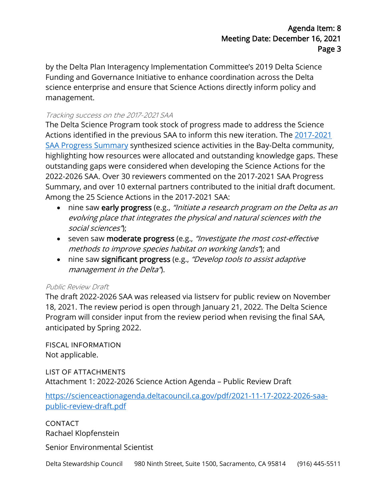by the Delta Plan Interagency Implementation Committee's 2019 Delta Science Funding and Governance Initiative to enhance coordination across the Delta science enterprise and ensure that Science Actions directly inform policy and management.

#### Tracking success on the 2017-2021 SAA

The Delta Science Program took stock of progress made to address the Science Actions identified in the previous SAA to inform this new iteration. The [2017-2021](https://scienceactionagenda.deltacouncil.ca.gov/pdf/SAA-Progress-Summary.pdf) [SAA Progress Summary](https://scienceactionagenda.deltacouncil.ca.gov/pdf/SAA-Progress-Summary.pdf) synthesized science activities in the Bay-Delta community, highlighting how resources were allocated and outstanding knowledge gaps. These outstanding gaps were considered when developing the Science Actions for the 2022-2026 SAA. Over 30 reviewers commented on the 2017-2021 SAA Progress Summary, and over 10 external partners contributed to the initial draft document. Among the 25 Science Actions in the 2017-2021 SAA:

- nine saw early progress (e.g., "Initiate a research program on the Delta as an evolving place that integrates the physical and natural sciences with the social sciences");
- seven saw moderate progress (e.g., "Investigate the most cost-effective methods to improve species habitat on working lands"); and
- nine saw significant progress (e.g., "Develop tools to assist adaptive management in the Delta").

#### Public Review Draft

The draft 2022-2026 SAA was released via listserv for public review on November 18, 2021. The review period is open through January 21, 2022. The Delta Science Program will consider input from the review period when revising the final SAA, anticipated by Spring 2022.

FISCAL INFORMATION Not applicable.

LIST OF ATTACHMENTS Attachment 1: 2022-2026 Science Action Agenda – Public Review Draft

[https://scienceactionagenda.deltacouncil.ca.gov/pdf/2021-11-17-2022-2026-saa](https://scienceactionagenda.deltacouncil.ca.gov/pdf/2021-11-17-2022-2026-saa-public-review-draft.pdf)[public-review-draft.pdf](https://scienceactionagenda.deltacouncil.ca.gov/pdf/2021-11-17-2022-2026-saa-public-review-draft.pdf)

CONTACT Rachael Klopfenstein

Senior Environmental Scientist